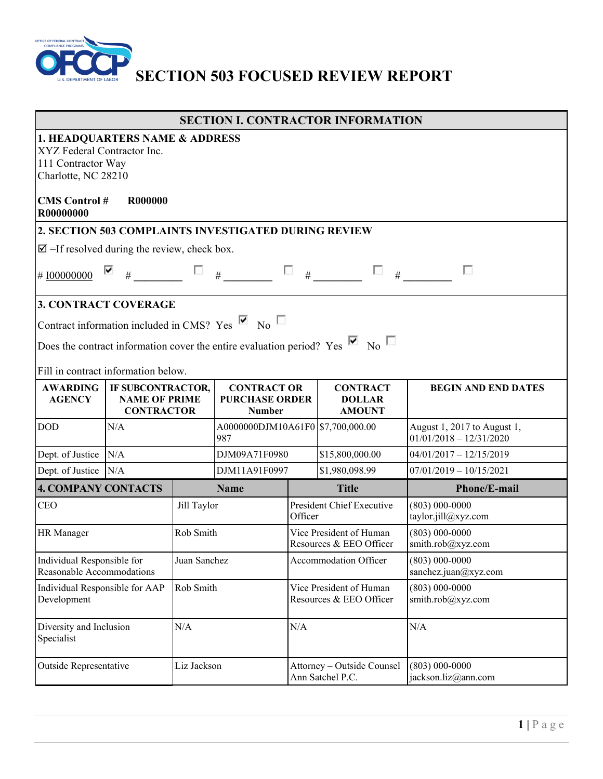

# **SECTION 503 FOCUSED REVIEW REPORT**

|                                                                                                                                                                                                                                                            |                                                                                                                                                      |              |                                                              |                                                    | <b>SECTION I. CONTRACTOR INFORMATION</b>          |                                                          |  |
|------------------------------------------------------------------------------------------------------------------------------------------------------------------------------------------------------------------------------------------------------------|------------------------------------------------------------------------------------------------------------------------------------------------------|--------------|--------------------------------------------------------------|----------------------------------------------------|---------------------------------------------------|----------------------------------------------------------|--|
| R00000000                                                                                                                                                                                                                                                  | 1. HEADQUARTERS NAME & ADDRESS<br>XYZ Federal Contractor Inc.<br>111 Contractor Way<br>Charlotte, NC 28210<br><b>CMS</b> Control #<br><b>R000000</b> |              |                                                              |                                                    |                                                   |                                                          |  |
|                                                                                                                                                                                                                                                            |                                                                                                                                                      |              | 2. SECTION 503 COMPLAINTS INVESTIGATED DURING REVIEW         |                                                    |                                                   |                                                          |  |
| $\mathbf{\nabla}$ =If resolved during the review, check box.                                                                                                                                                                                               |                                                                                                                                                      |              |                                                              |                                                    |                                                   |                                                          |  |
| #I00000000                                                                                                                                                                                                                                                 | ⊽<br>$\#$                                                                                                                                            |              | #                                                            | $\Box$ #                                           | $\mathcal{L}_{\text{max}}$<br>#                   | п                                                        |  |
| <b>3. CONTRACT COVERAGE</b><br>Contract information included in CMS? Yes $\overline{M}$ No $\overline{M}$<br>Does the contract information cover the entire evaluation period? Yes $\blacksquare$ No $\blacksquare$<br>Fill in contract information below. |                                                                                                                                                      |              |                                                              |                                                    |                                                   |                                                          |  |
| <b>AWARDING</b><br><b>AGENCY</b>                                                                                                                                                                                                                           | IF SUBCONTRACTOR,<br><b>NAME OF PRIME</b><br><b>CONTRACTOR</b>                                                                                       |              | <b>CONTRACT OR</b><br><b>PURCHASE ORDER</b><br><b>Number</b> |                                                    | <b>CONTRACT</b><br><b>DOLLAR</b><br><b>AMOUNT</b> | <b>BEGIN AND END DATES</b>                               |  |
| <b>DOD</b>                                                                                                                                                                                                                                                 | N/A                                                                                                                                                  |              | A0000000DJM10A61F0 \$7,700,000.00<br>987                     |                                                    |                                                   | August 1, 2017 to August 1,<br>$01/01/2018 - 12/31/2020$ |  |
| Dept. of Justice                                                                                                                                                                                                                                           | N/A                                                                                                                                                  |              | DJM09A71F0980                                                |                                                    | \$15,800,000.00                                   | $04/01/2017 - 12/15/2019$                                |  |
| Dept. of Justice N/A                                                                                                                                                                                                                                       |                                                                                                                                                      |              | DJM11A91F0997                                                |                                                    | \$1,980,098.99                                    | $07/01/2019 - 10/15/2021$                                |  |
| <b>4. COMPANY CONTACTS</b>                                                                                                                                                                                                                                 |                                                                                                                                                      |              | <b>Name</b>                                                  |                                                    | <b>Title</b>                                      | Phone/E-mail                                             |  |
| <b>CEO</b>                                                                                                                                                                                                                                                 |                                                                                                                                                      | Jill Taylor  |                                                              | President Chief Executive<br>Officer               |                                                   | $(803) 000 - 0000$<br>taylor.jill@xyz.com                |  |
| <b>HR</b> Manager                                                                                                                                                                                                                                          |                                                                                                                                                      | Rob Smith    |                                                              | Vice President of Human<br>Resources & EEO Officer |                                                   | $(803) 000 - 0000$<br>smith.rob@xyz.com                  |  |
| Individual Responsible for<br>Reasonable Accommodations                                                                                                                                                                                                    |                                                                                                                                                      | Juan Sanchez |                                                              | Accommodation Officer                              |                                                   | $(803) 000 - 0000$<br>sanchez.juan@xyz.com               |  |
| Individual Responsible for AAP<br>Development                                                                                                                                                                                                              |                                                                                                                                                      | Rob Smith    |                                                              | Vice President of Human<br>Resources & EEO Officer |                                                   | $(803) 000 - 0000$<br>smith.rob@xyz.com                  |  |
| Diversity and Inclusion<br>Specialist                                                                                                                                                                                                                      |                                                                                                                                                      | N/A          |                                                              | N/A                                                |                                                   | N/A                                                      |  |
| <b>Outside Representative</b>                                                                                                                                                                                                                              |                                                                                                                                                      | Liz Jackson  |                                                              | Attorney - Outside Counsel<br>Ann Satchel P.C.     |                                                   | $(803) 000 - 0000$<br>jackson.liz@ann.com                |  |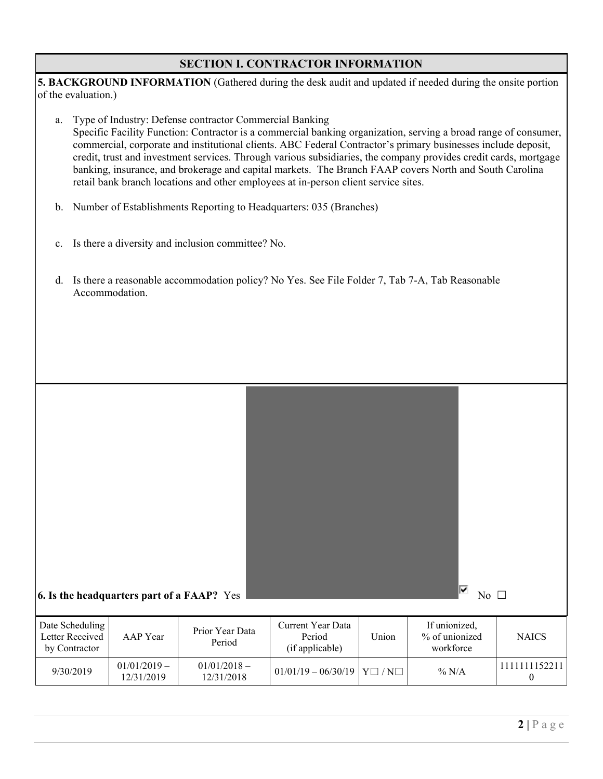## **SECTION I. CONTRACTOR INFORMATION**

|                     | 5. BACKGROUND INFORMATION (Gathered during the desk audit and updated if needed during the onsite portion |  |
|---------------------|-----------------------------------------------------------------------------------------------------------|--|
| of the evaluation.) |                                                                                                           |  |

- a. Type of Industry: Defense contractor Commercial Banking Specific Facility Function: Contractor is a commercial banking organization, serving a broad range of consumer, commercial, corporate and institutional clients. ABC Federal Contractor's primary businesses include deposit, credit, trust and investment services. Through various subsidiaries, the company provides credit cards, mortgage banking, insurance, and brokerage and capital markets. The Branch FAAP covers North and South Carolina retail bank branch locations and other employees at in-person client service sites.
- b. Number of Establishments Reporting to Headquarters: 035 (Branches)
- c. Is there a diversity and inclusion committee? No.
- d. Is there a reasonable accommodation policy? No Yes. See File Folder 7, Tab 7-A, Tab Reasonable Accommodation.

| 6. Is the headquarters part of a FAAP? Yes          |                              |                              |                                                |                   | ⊽<br>No $\square$                            |                               |
|-----------------------------------------------------|------------------------------|------------------------------|------------------------------------------------|-------------------|----------------------------------------------|-------------------------------|
| Date Scheduling<br>Letter Received<br>by Contractor | AAP Year                     | Prior Year Data<br>Period    | Current Year Data<br>Period<br>(if applicable) | Union             | If unionized,<br>% of unionized<br>workforce | <b>NAICS</b>                  |
| 9/30/2019                                           | $01/01/2019 -$<br>12/31/2019 | $01/01/2018 -$<br>12/31/2018 | $01/01/19 - 06/30/19$                          | $Y \Box / N \Box$ | $\%$ N/A                                     | 1111111152211<br>$\mathbf{0}$ |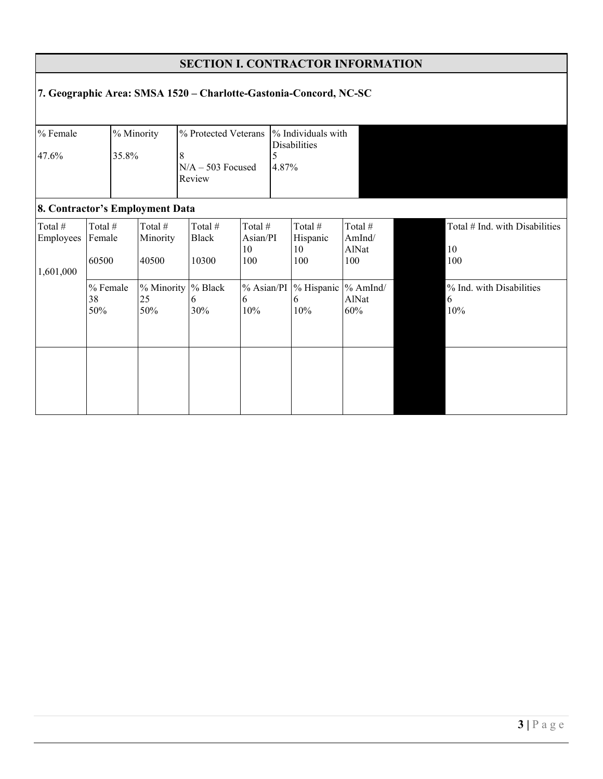|                                   |                                                                   |                     |                              |                                                       |                                  |            | <b>SECTION I. CONTRACTOR INFORMATION</b> |                                   |                                             |
|-----------------------------------|-------------------------------------------------------------------|---------------------|------------------------------|-------------------------------------------------------|----------------------------------|------------|------------------------------------------|-----------------------------------|---------------------------------------------|
|                                   | 7. Geographic Area: SMSA 1520 - Charlotte-Gastonia-Concord, NC-SC |                     |                              |                                                       |                                  |            |                                          |                                   |                                             |
| % Female<br>47.6%                 |                                                                   | % Minority<br>35.8% | 8                            | % Protected Veterans<br>$N/A - 503$ Focused<br>Review |                                  | 5<br>4.87% | % Individuals with<br>Disabilities       |                                   |                                             |
|                                   | 8. Contractor's Employment Data                                   |                     |                              |                                                       |                                  |            |                                          |                                   |                                             |
| Total #<br>Employees<br>1,601,000 | Total #<br>Female<br>60500                                        |                     | Total #<br>Minority<br>40500 | Total #<br><b>Black</b><br>10300                      | Total #<br>Asian/PI<br>10<br>100 |            | Total #<br>Hispanic<br>10<br>100         | Total #<br>AmInd/<br>AlNat<br>100 | Total # Ind. with Disabilities<br>10<br>100 |
|                                   | % Female<br>38<br>50%                                             |                     | % Minority<br>25<br>50%      | % Black<br>6<br>30%                                   | $%$ Asian/PI<br>6<br>10%         |            | % Hispanic<br>6<br>10%                   | $\%$ AmInd/<br>AlNat<br>60%       | % Ind. with Disabilities<br>6<br>10%        |
|                                   |                                                                   |                     |                              |                                                       |                                  |            |                                          |                                   |                                             |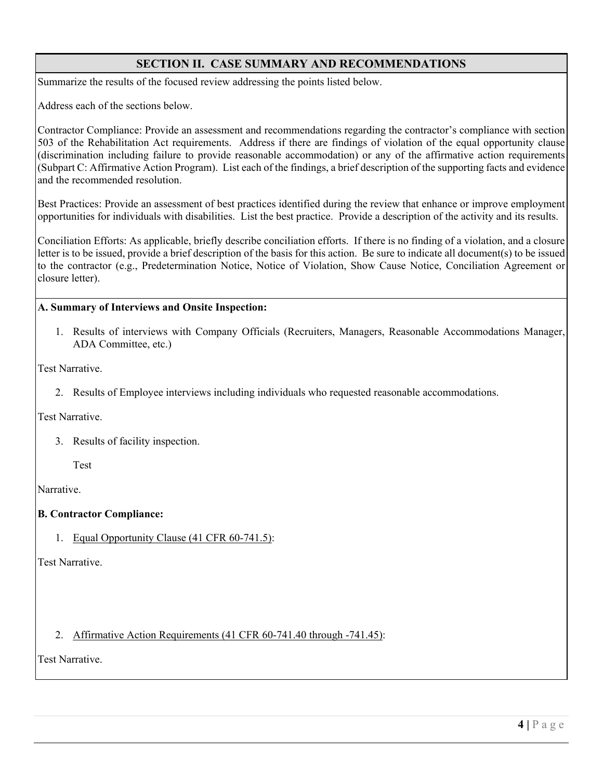# **SECTION II. CASE SUMMARY AND RECOMMENDATIONS**

Summarize the results of the focused review addressing the points listed below.

Address each of the sections below.

Contractor Compliance: Provide an assessment and recommendations regarding the contractor's compliance with section 503 of the Rehabilitation Act requirements. Address if there are findings of violation of the equal opportunity clause (discrimination including failure to provide reasonable accommodation) or any of the affirmative action requirements (Subpart C: Affirmative Action Program). List each of the findings, a brief description of the supporting facts and evidence and the recommended resolution.

Best Practices: Provide an assessment of best practices identified during the review that enhance or improve employment opportunities for individuals with disabilities. List the best practice. Provide a description of the activity and its results.

Conciliation Efforts: As applicable, briefly describe conciliation efforts. If there is no finding of a violation, and a closure letter is to be issued, provide a brief description of the basis for this action. Be sure to indicate all document(s) to be issued to the contractor (e.g., Predetermination Notice, Notice of Violation, Show Cause Notice, Conciliation Agreement or closure letter).

#### **A. Summary of Interviews and Onsite Inspection:**

1. Results of interviews with Company Officials (Recruiters, Managers, Reasonable Accommodations Manager, ADA Committee, etc.)

Test Narrative.

2. Results of Employee interviews including individuals who requested reasonable accommodations.

Test Narrative.

3. Results of facility inspection.

Test

Narrative.

#### **B. Contractor Compliance:**

1. Equal Opportunity Clause (41 CFR 60-741.5):

Test Narrative.

2. Affirmative Action Requirements (41 CFR 60-741.40 through -741.45):

Test Narrative.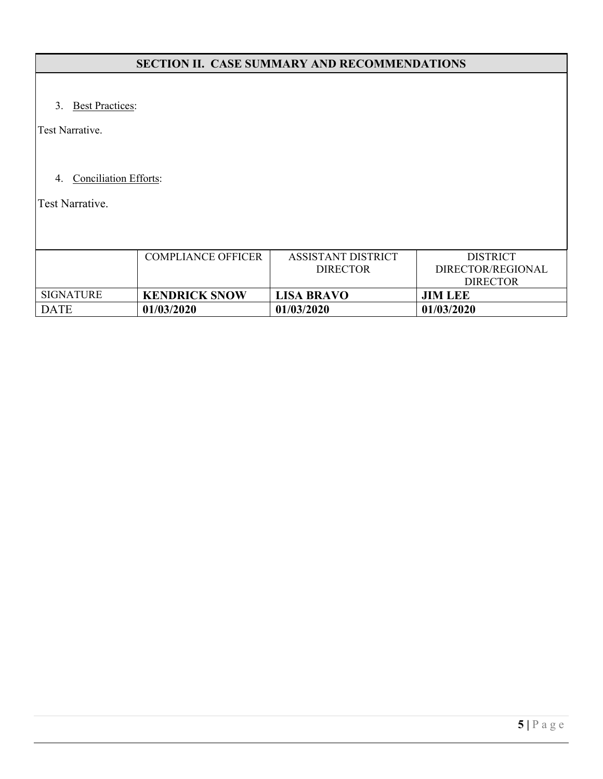# **SECTION II. CASE SUMMARY AND RECOMMENDATIONS**

3. Best Practices:

Test Narrative.

# 4. Conciliation Efforts:

Test Narrative.

|                  | <b>COMPLIANCE OFFICER</b> | ASSISTANT DISTRICT | <b>DISTRICT</b>   |
|------------------|---------------------------|--------------------|-------------------|
|                  |                           | <b>DIRECTOR</b>    | DIRECTOR/REGIONAL |
|                  |                           |                    | <b>DIRECTOR</b>   |
| <b>SIGNATURE</b> | <b>KENDRICK SNOW</b>      | <b>LISA BRAVO</b>  | <b>JIM LEE</b>    |
| <b>DATE</b>      | 01/03/2020                | 01/03/2020         | 01/03/2020        |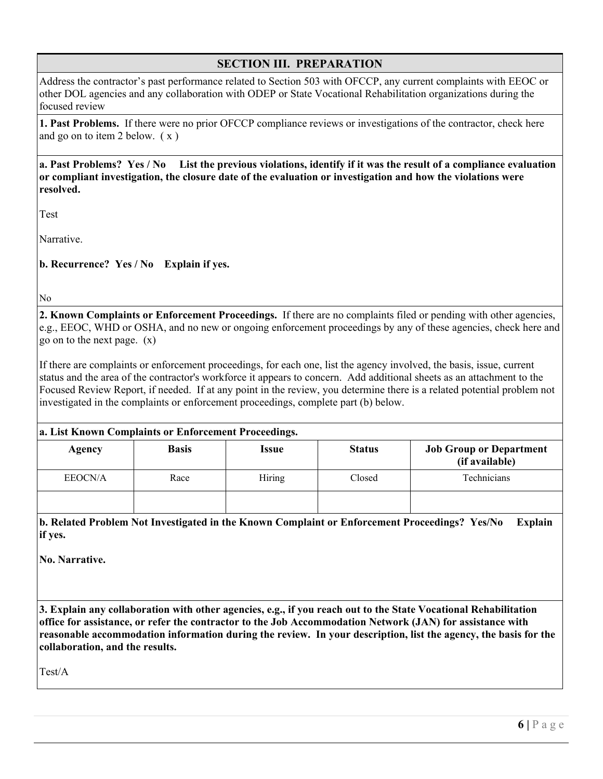# **SECTION III. PREPARATION**

Address the contractor's past performance related to Section 503 with OFCCP, any current complaints with EEOC or other DOL agencies and any collaboration with ODEP or State Vocational Rehabilitation organizations during the focused review

**1. Past Problems.** If there were no prior OFCCP compliance reviews or investigations of the contractor, check here and go on to item 2 below.  $(x)$ 

#### **a. Past Problems? Yes / No List the previous violations, identify if it was the result of a compliance evaluation or compliant investigation, the closure date of the evaluation or investigation and how the violations were resolved.**

Test

Narrative.

**b. Recurrence? Yes / No Explain if yes.**

No

**2. Known Complaints or Enforcement Proceedings.** If there are no complaints filed or pending with other agencies, e.g., EEOC, WHD or OSHA, and no new or ongoing enforcement proceedings by any of these agencies, check here and go on to the next page. (x)

If there are complaints or enforcement proceedings, for each one, list the agency involved, the basis, issue, current status and the area of the contractor's workforce it appears to concern. Add additional sheets as an attachment to the Focused Review Report, if needed. If at any point in the review, you determine there is a related potential problem not investigated in the complaints or enforcement proceedings, complete part (b) below.

#### **a. List Known Complaints or Enforcement Proceedings.**

|         |              | -      |               |                                                  |
|---------|--------------|--------|---------------|--------------------------------------------------|
| Agency  | <b>Basis</b> | Issue  | <b>Status</b> | <b>Job Group or Department</b><br>(if available) |
| EEOCN/A | Race         | Hiring | Closed        | Technicians                                      |
|         |              |        |               |                                                  |

**b. Related Problem Not Investigated in the Known Complaint or Enforcement Proceedings? Yes/No Explain if yes.** 

**No. Narrative.** 

**3. Explain any collaboration with other agencies, e.g., if you reach out to the State Vocational Rehabilitation office for assistance, or refer the contractor to the Job Accommodation Network (JAN) for assistance with reasonable accommodation information during the review. In your description, list the agency, the basis for the collaboration, and the results.** 

Test/A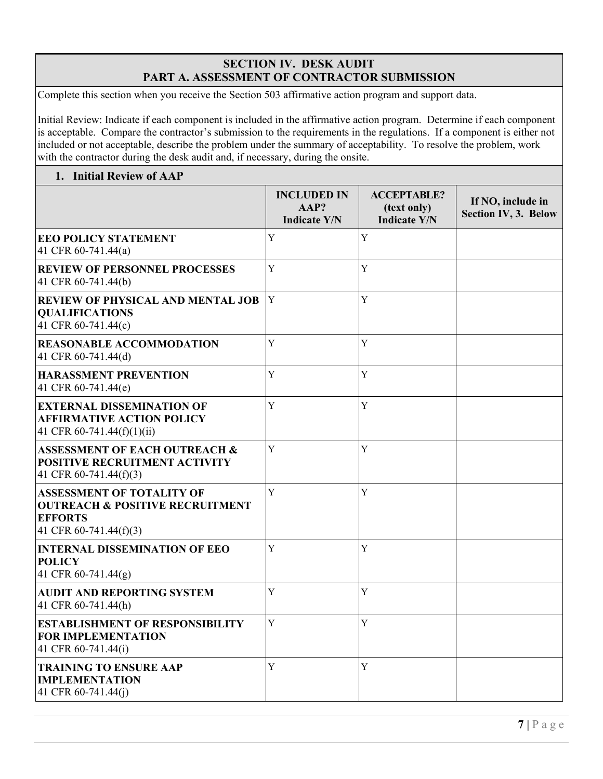## **SECTION IV. DESK AUDIT PART A. ASSESSMENT OF CONTRACTOR SUBMISSION**

Complete this section when you receive the Section 503 affirmative action program and support data.

Initial Review: Indicate if each component is included in the affirmative action program. Determine if each component is acceptable. Compare the contractor's submission to the requirements in the regulations. If a component is either not included or not acceptable, describe the problem under the summary of acceptability. To resolve the problem, work with the contractor during the desk audit and, if necessary, during the onsite.

## **1. Initial Review of AAP**

|                                                                                                                            | <b>INCLUDED IN</b><br>AAP?<br><b>Indicate Y/N</b> | <b>ACCEPTABLE?</b><br>(text only)<br><b>Indicate Y/N</b> | If NO, include in<br><b>Section IV, 3. Below</b> |
|----------------------------------------------------------------------------------------------------------------------------|---------------------------------------------------|----------------------------------------------------------|--------------------------------------------------|
| <b>EEO POLICY STATEMENT</b><br>41 CFR 60-741.44(a)                                                                         | Y                                                 | Y                                                        |                                                  |
| <b>REVIEW OF PERSONNEL PROCESSES</b><br>41 CFR 60-741.44(b)                                                                | Y                                                 | Y                                                        |                                                  |
| <b>REVIEW OF PHYSICAL AND MENTAL JOB</b><br><b>QUALIFICATIONS</b><br>41 CFR 60-741.44(c)                                   | Y                                                 | Y                                                        |                                                  |
| <b>REASONABLE ACCOMMODATION</b><br>41 CFR 60-741.44(d)                                                                     | Y                                                 | $\mathbf Y$                                              |                                                  |
| <b>HARASSMENT PREVENTION</b><br>41 CFR 60-741.44(e)                                                                        | Y                                                 | Y                                                        |                                                  |
| <b>EXTERNAL DISSEMINATION OF</b><br><b>AFFIRMATIVE ACTION POLICY</b><br>41 CFR 60-741.44(f)(1)(ii)                         | Y                                                 | Y                                                        |                                                  |
| <b>ASSESSMENT OF EACH OUTREACH &amp;</b><br>POSITIVE RECRUITMENT ACTIVITY<br>41 CFR 60-741.44(f)(3)                        | Y                                                 | Y                                                        |                                                  |
| <b>ASSESSMENT OF TOTALITY OF</b><br><b>OUTREACH &amp; POSITIVE RECRUITMENT</b><br><b>EFFORTS</b><br>41 CFR 60-741.44(f)(3) | Y                                                 | $\mathbf Y$                                              |                                                  |
| <b>INTERNAL DISSEMINATION OF EEO</b><br><b>POLICY</b><br>41 CFR 60-741.44(g)                                               | Y                                                 | Y                                                        |                                                  |
| <b>AUDIT AND REPORTING SYSTEM</b><br>41 CFR 60-741.44(h)                                                                   | Y                                                 | Y                                                        |                                                  |
| <b>ESTABLISHMENT OF RESPONSIBILITY</b><br><b>FOR IMPLEMENTATION</b><br>41 CFR 60-741.44(i)                                 | Y                                                 | Y                                                        |                                                  |
| <b>TRAINING TO ENSURE AAP</b><br><b>IMPLEMENTATION</b><br>41 CFR 60-741.44(j)                                              | Y                                                 | Y                                                        |                                                  |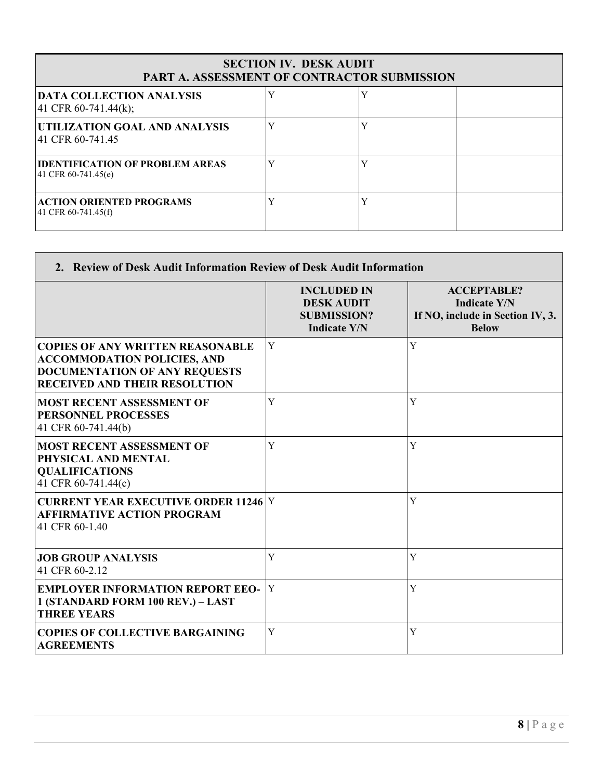| <b>SECTION IV. DESK AUDIT</b><br>PART A. ASSESSMENT OF CONTRACTOR SUBMISSION |   |              |  |  |
|------------------------------------------------------------------------------|---|--------------|--|--|
| <b>DATA COLLECTION ANALYSIS</b><br>$ 41 \text{ CFR } 60-741.44(k);$          |   | $\mathbf{v}$ |  |  |
| UTILIZATION GOAL AND ANALYSIS<br>41 CFR 60-741.45                            | Y | v            |  |  |
| <b>IIDENTIFICATION OF PROBLEM AREAS</b><br>41 CFR 60-741.45(e)               |   | $\mathbf{v}$ |  |  |
| <b>ACTION ORIENTED PROGRAMS</b><br>41 CFR 60-741.45(f)                       |   | $\mathbf{v}$ |  |  |

Г

|                                                                                                                                                               | <b>INCLUDED IN</b><br><b>DESK AUDIT</b><br><b>SUBMISSION?</b><br><b>Indicate Y/N</b> | <b>ACCEPTABLE?</b><br><b>Indicate Y/N</b><br>If NO, include in Section IV, 3.<br><b>Below</b> |
|---------------------------------------------------------------------------------------------------------------------------------------------------------------|--------------------------------------------------------------------------------------|-----------------------------------------------------------------------------------------------|
| <b>COPIES OF ANY WRITTEN REASONABLE</b><br><b>ACCOMMODATION POLICIES, AND</b><br><b>DOCUMENTATION OF ANY REQUESTS</b><br><b>RECEIVED AND THEIR RESOLUTION</b> | Y                                                                                    | Y                                                                                             |
| <b>MOST RECENT ASSESSMENT OF</b><br><b>PERSONNEL PROCESSES</b><br>41 CFR 60-741.44(b)                                                                         | Y                                                                                    | Y                                                                                             |
| <b>MOST RECENT ASSESSMENT OF</b><br>PHYSICAL AND MENTAL<br><b>QUALIFICATIONS</b><br>41 CFR 60-741.44(c)                                                       | Y                                                                                    | Y                                                                                             |
| <b>CURRENT YEAR EXECUTIVE ORDER 11246 Y</b><br><b>AFFIRMATIVE ACTION PROGRAM</b><br>41 CFR 60-1.40                                                            |                                                                                      | Y                                                                                             |
| <b>JOB GROUP ANALYSIS</b><br>41 CFR 60-2.12                                                                                                                   | Y                                                                                    | Y                                                                                             |
| <b>EMPLOYER INFORMATION REPORT EEO-</b><br>1 (STANDARD FORM 100 REV.) - LAST<br><b>THREE YEARS</b>                                                            | Y                                                                                    | Y                                                                                             |
| <b>COPIES OF COLLECTIVE BARGAINING</b><br><b>AGREEMENTS</b>                                                                                                   | Y                                                                                    | Y                                                                                             |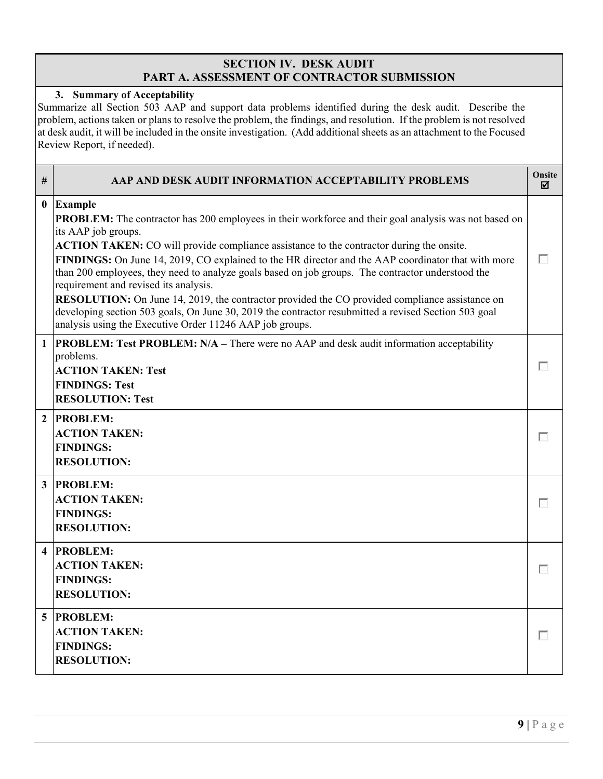## **SECTION IV. DESK AUDIT PART A. ASSESSMENT OF CONTRACTOR SUBMISSION**

**3. Summary of Acceptability** Summarize all Section 503 AAP and support data problems identified during the desk audit. Describe the problem, actions taken or plans to resolve the problem, the findings, and resolution. If the problem is not resolved at desk audit, it will be included in the onsite investigation. (Add additional sheets as an attachment to the Focused Review Report, if needed).

| #                       | AAP AND DESK AUDIT INFORMATION ACCEPTABILITY PROBLEMS                                                                                                                                                                                                                                                                                                                                                                                                                                                                                                                                                                                                                                                                                                                       | Onsite<br>☑ |
|-------------------------|-----------------------------------------------------------------------------------------------------------------------------------------------------------------------------------------------------------------------------------------------------------------------------------------------------------------------------------------------------------------------------------------------------------------------------------------------------------------------------------------------------------------------------------------------------------------------------------------------------------------------------------------------------------------------------------------------------------------------------------------------------------------------------|-------------|
| $\bf{0}$                | <b>Example</b><br><b>PROBLEM:</b> The contractor has 200 employees in their workforce and their goal analysis was not based on<br>its AAP job groups.<br>ACTION TAKEN: CO will provide compliance assistance to the contractor during the onsite.<br>FINDINGS: On June 14, 2019, CO explained to the HR director and the AAP coordinator that with more<br>than 200 employees, they need to analyze goals based on job groups. The contractor understood the<br>requirement and revised its analysis.<br>RESOLUTION: On June 14, 2019, the contractor provided the CO provided compliance assistance on<br>developing section 503 goals, On June 30, 2019 the contractor resubmitted a revised Section 503 goal<br>analysis using the Executive Order 11246 AAP job groups. | п           |
| $\mathbf{1}$            | <b>PROBLEM: Test PROBLEM: N/A - There were no AAP and desk audit information acceptability</b><br>problems.<br><b>ACTION TAKEN: Test</b><br><b>FINDINGS: Test</b><br><b>RESOLUTION: Test</b>                                                                                                                                                                                                                                                                                                                                                                                                                                                                                                                                                                                | г           |
| $\overline{2}$          | <b>PROBLEM:</b><br><b>ACTION TAKEN:</b><br><b>FINDINGS:</b><br><b>RESOLUTION:</b>                                                                                                                                                                                                                                                                                                                                                                                                                                                                                                                                                                                                                                                                                           | г           |
| $\mathbf{3}$            | <b>PROBLEM:</b><br><b>ACTION TAKEN:</b><br><b>FINDINGS:</b><br><b>RESOLUTION:</b>                                                                                                                                                                                                                                                                                                                                                                                                                                                                                                                                                                                                                                                                                           | г           |
| $\overline{\mathbf{4}}$ | <b>PROBLEM:</b><br><b>ACTION TAKEN:</b><br><b>FINDINGS:</b><br><b>RESOLUTION:</b>                                                                                                                                                                                                                                                                                                                                                                                                                                                                                                                                                                                                                                                                                           | г           |
| 5 <sup>1</sup>          | <b>PROBLEM:</b><br><b>ACTION TAKEN:</b><br><b>FINDINGS:</b><br><b>RESOLUTION:</b>                                                                                                                                                                                                                                                                                                                                                                                                                                                                                                                                                                                                                                                                                           | г           |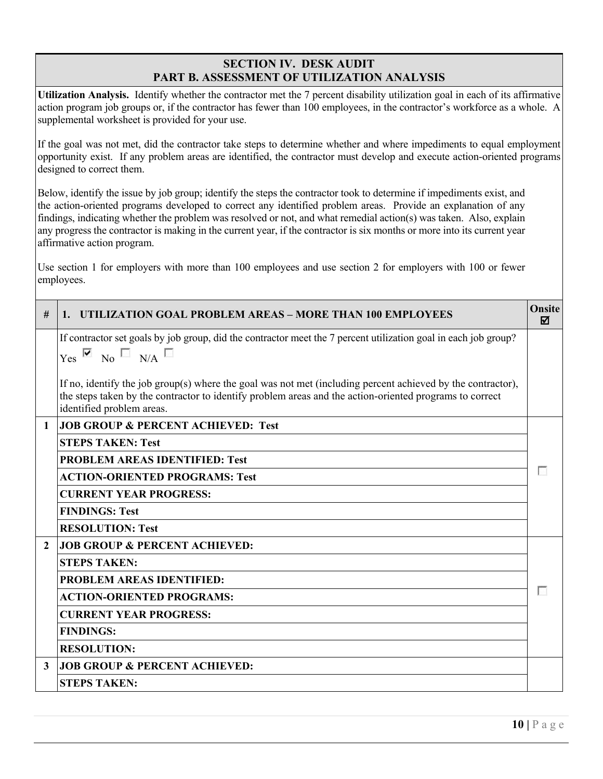## **SECTION IV. DESK AUDIT PART B. ASSESSMENT OF UTILIZATION ANALYSIS**

**Utilization Analysis.** Identify whether the contractor met the 7 percent disability utilization goal in each of its affirmative action program job groups or, if the contractor has fewer than 100 employees, in the contractor's workforce as a whole. A supplemental worksheet is provided for your use.

If the goal was not met, did the contractor take steps to determine whether and where impediments to equal employment opportunity exist. If any problem areas are identified, the contractor must develop and execute action-oriented programs designed to correct them.

Below, identify the issue by job group; identify the steps the contractor took to determine if impediments exist, and the action-oriented programs developed to correct any identified problem areas. Provide an explanation of any findings, indicating whether the problem was resolved or not, and what remedial action(s) was taken. Also, explain any progress the contractor is making in the current year, if the contractor is six months or more into its current year affirmative action program.

Use section 1 for employers with more than 100 employees and use section 2 for employers with 100 or fewer employees.

| #              | UTILIZATION GOAL PROBLEM AREAS – MORE THAN 100 EMPLOYEES<br>1 <sub>1</sub>                                                                                                                                                                          | <b>Onsite</b><br>☑ |
|----------------|-----------------------------------------------------------------------------------------------------------------------------------------------------------------------------------------------------------------------------------------------------|--------------------|
|                | If contractor set goals by job group, did the contractor meet the 7 percent utilization goal in each job group?<br>$Yes$ $\overline{M}$ No $N/A$                                                                                                    |                    |
|                | If no, identify the job group(s) where the goal was not met (including percent achieved by the contractor),<br>the steps taken by the contractor to identify problem areas and the action-oriented programs to correct<br>identified problem areas. |                    |
| 1              | <b>JOB GROUP &amp; PERCENT ACHIEVED: Test</b>                                                                                                                                                                                                       |                    |
|                | <b>STEPS TAKEN: Test</b>                                                                                                                                                                                                                            |                    |
|                | <b>PROBLEM AREAS IDENTIFIED: Test</b>                                                                                                                                                                                                               |                    |
|                | <b>ACTION-ORIENTED PROGRAMS: Test</b>                                                                                                                                                                                                               |                    |
|                | <b>CURRENT YEAR PROGRESS:</b>                                                                                                                                                                                                                       |                    |
|                | <b>FINDINGS: Test</b>                                                                                                                                                                                                                               |                    |
|                | <b>RESOLUTION: Test</b>                                                                                                                                                                                                                             |                    |
| $\overline{2}$ | <b>JOB GROUP &amp; PERCENT ACHIEVED:</b>                                                                                                                                                                                                            |                    |
|                | <b>STEPS TAKEN:</b>                                                                                                                                                                                                                                 |                    |
|                | <b>PROBLEM AREAS IDENTIFIED:</b>                                                                                                                                                                                                                    |                    |
|                | <b>ACTION-ORIENTED PROGRAMS:</b>                                                                                                                                                                                                                    |                    |
|                | <b>CURRENT YEAR PROGRESS:</b>                                                                                                                                                                                                                       |                    |
|                | <b>FINDINGS:</b>                                                                                                                                                                                                                                    |                    |
|                | <b>RESOLUTION:</b>                                                                                                                                                                                                                                  |                    |
| 3              | <b>JOB GROUP &amp; PERCENT ACHIEVED:</b>                                                                                                                                                                                                            |                    |
|                | <b>STEPS TAKEN:</b>                                                                                                                                                                                                                                 |                    |
|                |                                                                                                                                                                                                                                                     |                    |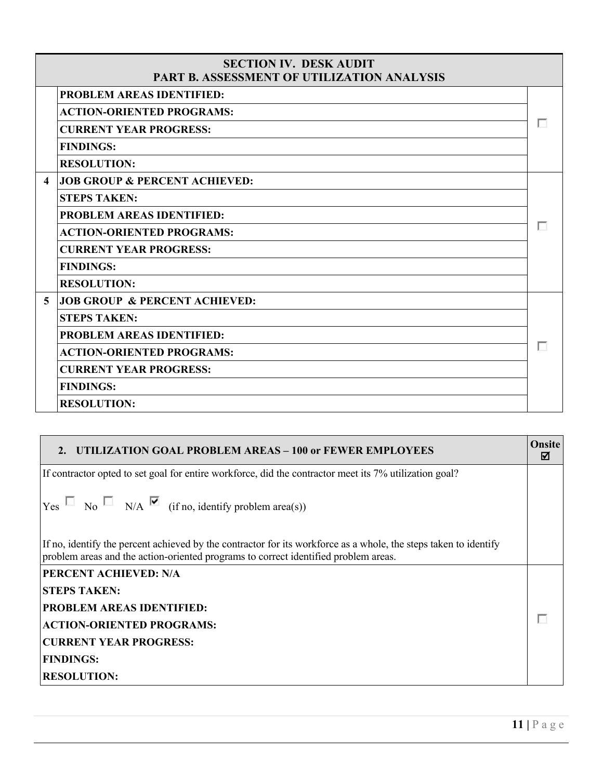|                        | <b>SECTION IV. DESK AUDIT</b><br>PART B. ASSESSMENT OF UTILIZATION ANALYSIS |  |
|------------------------|-----------------------------------------------------------------------------|--|
|                        | <b>PROBLEM AREAS IDENTIFIED:</b>                                            |  |
|                        | <b>ACTION-ORIENTED PROGRAMS:</b>                                            |  |
|                        | <b>CURRENT YEAR PROGRESS:</b>                                               |  |
|                        | <b>FINDINGS:</b>                                                            |  |
|                        | <b>RESOLUTION:</b>                                                          |  |
| $\boldsymbol{\Lambda}$ | <b>JOB GROUP &amp; PERCENT ACHIEVED:</b>                                    |  |
|                        | <b>STEPS TAKEN:</b>                                                         |  |
|                        | <b>PROBLEM AREAS IDENTIFIED:</b>                                            |  |
|                        | <b>ACTION-ORIENTED PROGRAMS:</b>                                            |  |
|                        | <b>CURRENT YEAR PROGRESS:</b>                                               |  |
|                        | <b>FINDINGS:</b>                                                            |  |
|                        | <b>RESOLUTION:</b>                                                          |  |
| 5                      | <b>JOB GROUP &amp; PERCENT ACHIEVED:</b>                                    |  |
|                        | <b>STEPS TAKEN:</b>                                                         |  |
|                        | <b>PROBLEM AREAS IDENTIFIED:</b>                                            |  |
|                        | <b>ACTION-ORIENTED PROGRAMS:</b>                                            |  |
|                        | <b>CURRENT YEAR PROGRESS:</b>                                               |  |
|                        | <b>FINDINGS:</b>                                                            |  |
|                        | <b>RESOLUTION:</b>                                                          |  |

| 2. UTILIZATION GOAL PROBLEM AREAS – 100 or FEWER EMPLOYEES                                                                                                                                              | Onsite<br>⊠ |
|---------------------------------------------------------------------------------------------------------------------------------------------------------------------------------------------------------|-------------|
| If contractor opted to set goal for entire workforce, did the contractor meet its 7% utilization goal?                                                                                                  |             |
| $ Y_{\text{res}} \Box$ No $\Box$ N/A $\Box$ (if no, identify problem area(s))                                                                                                                           |             |
| If no, identify the percent achieved by the contractor for its workforce as a whole, the steps taken to identify<br>problem areas and the action-oriented programs to correct identified problem areas. |             |
| PERCENT ACHIEVED: N/A                                                                                                                                                                                   |             |
| <b>STEPS TAKEN:</b>                                                                                                                                                                                     |             |
| <b>PROBLEM AREAS IDENTIFIED:</b>                                                                                                                                                                        |             |
| <b>ACTION-ORIENTED PROGRAMS:</b>                                                                                                                                                                        |             |
| <b>CURRENT YEAR PROGRESS:</b>                                                                                                                                                                           |             |
| <b>FINDINGS:</b>                                                                                                                                                                                        |             |
| <b>RESOLUTION:</b>                                                                                                                                                                                      |             |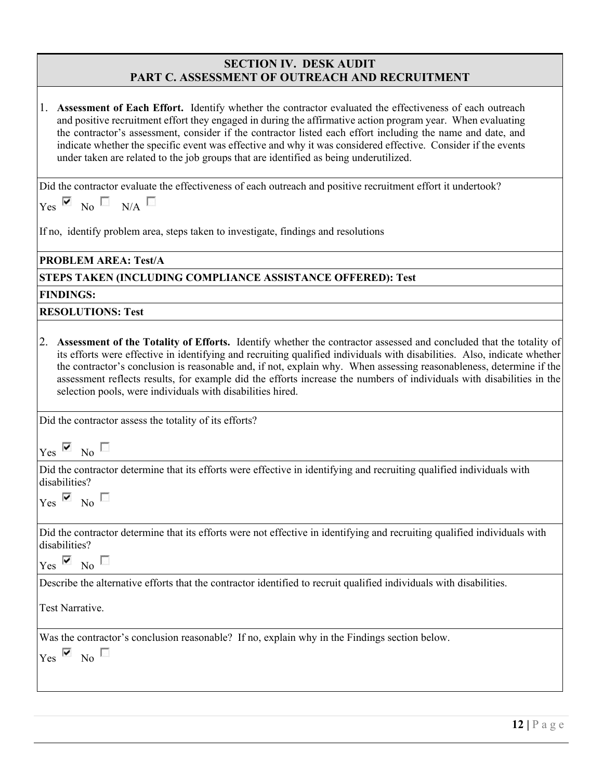# **SECTION IV. DESK AUDIT PART C. ASSESSMENT OF OUTREACH AND RECRUITMENT**

| 1. Assessment of Each Effort. Identify whether the contractor evaluated the effectiveness of each outreach<br>and positive recruitment effort they engaged in during the affirmative action program year. When evaluating<br>the contractor's assessment, consider if the contractor listed each effort including the name and date, and<br>indicate whether the specific event was effective and why it was considered effective. Consider if the events<br>under taken are related to the job groups that are identified as being underutilized.              |
|-----------------------------------------------------------------------------------------------------------------------------------------------------------------------------------------------------------------------------------------------------------------------------------------------------------------------------------------------------------------------------------------------------------------------------------------------------------------------------------------------------------------------------------------------------------------|
| Did the contractor evaluate the effectiveness of each outreach and positive recruitment effort it undertook?                                                                                                                                                                                                                                                                                                                                                                                                                                                    |
| $Yes \times No \times N/A$                                                                                                                                                                                                                                                                                                                                                                                                                                                                                                                                      |
| If no, identify problem area, steps taken to investigate, findings and resolutions                                                                                                                                                                                                                                                                                                                                                                                                                                                                              |
| <b>PROBLEM AREA: Test/A</b>                                                                                                                                                                                                                                                                                                                                                                                                                                                                                                                                     |
| STEPS TAKEN (INCLUDING COMPLIANCE ASSISTANCE OFFERED): Test                                                                                                                                                                                                                                                                                                                                                                                                                                                                                                     |
| <b>FINDINGS:</b>                                                                                                                                                                                                                                                                                                                                                                                                                                                                                                                                                |
| <b>RESOLUTIONS: Test</b>                                                                                                                                                                                                                                                                                                                                                                                                                                                                                                                                        |
| 2. Assessment of the Totality of Efforts. Identify whether the contractor assessed and concluded that the totality of<br>its efforts were effective in identifying and recruiting qualified individuals with disabilities. Also, indicate whether<br>the contractor's conclusion is reasonable and, if not, explain why. When assessing reasonableness, determine if the<br>assessment reflects results, for example did the efforts increase the numbers of individuals with disabilities in the<br>selection pools, were individuals with disabilities hired. |
| Did the contractor assess the totality of its efforts?                                                                                                                                                                                                                                                                                                                                                                                                                                                                                                          |
| $Yes$ Mo $\Box$                                                                                                                                                                                                                                                                                                                                                                                                                                                                                                                                                 |
| Did the contractor determine that its efforts were effective in identifying and recruiting qualified individuals with<br>disabilities?                                                                                                                                                                                                                                                                                                                                                                                                                          |
| $Yes \times No$                                                                                                                                                                                                                                                                                                                                                                                                                                                                                                                                                 |
| Did the contractor determine that its efforts were not effective in identifying and recruiting qualified individuals with<br>disabilities?                                                                                                                                                                                                                                                                                                                                                                                                                      |
| $Yes \times No$                                                                                                                                                                                                                                                                                                                                                                                                                                                                                                                                                 |
| Describe the alternative efforts that the contractor identified to recruit qualified individuals with disabilities.                                                                                                                                                                                                                                                                                                                                                                                                                                             |
| Test Narrative.                                                                                                                                                                                                                                                                                                                                                                                                                                                                                                                                                 |
| Was the contractor's conclusion reasonable? If no, explain why in the Findings section below.<br>$Yes \nightharpoonup No \square$                                                                                                                                                                                                                                                                                                                                                                                                                               |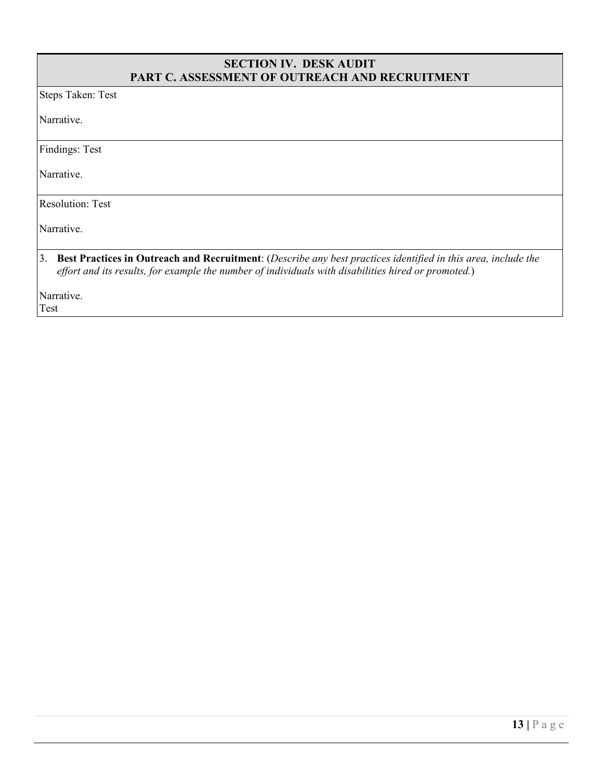#### **SECTION IV. DESK AUDIT PART C. ASSESSMENT OF OUTREACH AND RECRUITMENT**

Steps Taken: Test

Narrative.

Findings: Test

Narrative.

Resolution: Test

Narrative.

#### 3. **Best Practices in Outreach and Recruitment**: (*Describe any best practices identified in this area, include the effort and its results, for example the number of individuals with disabilities hired or promoted.*)

Narrative. Test

**13 |** Page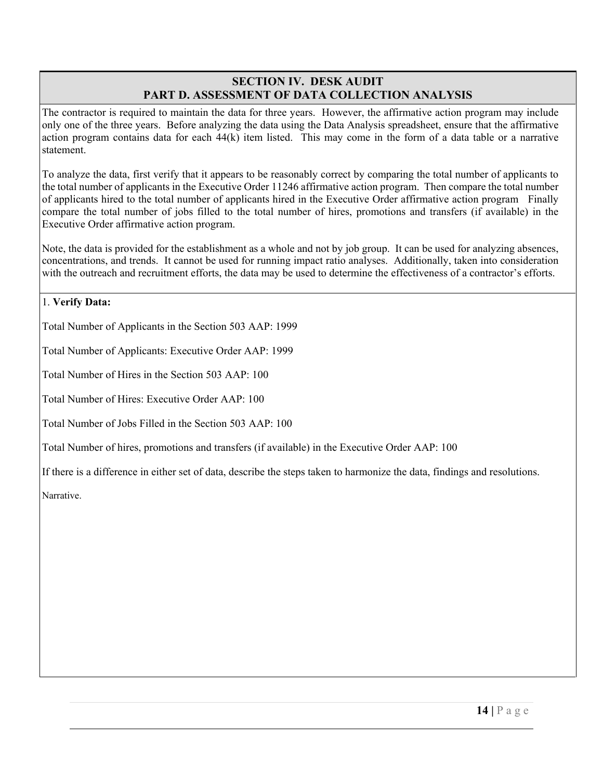## **SECTION IV. DESK AUDIT PART D. ASSESSMENT OF DATA COLLECTION ANALYSIS**

The contractor is required to maintain the data for three years. However, the affirmative action program may include only one of the three years. Before analyzing the data using the Data Analysis spreadsheet, ensure that the affirmative action program contains data for each 44(k) item listed. This may come in the form of a data table or a narrative statement.

To analyze the data, first verify that it appears to be reasonably correct by comparing the total number of applicants to the total number of applicants in the Executive Order 11246 affirmative action program. Then compare the total number of applicants hired to the total number of applicants hired in the Executive Order affirmative action program Finally compare the total number of jobs filled to the total number of hires, promotions and transfers (if available) in the Executive Order affirmative action program.

Note, the data is provided for the establishment as a whole and not by job group. It can be used for analyzing absences, concentrations, and trends. It cannot be used for running impact ratio analyses. Additionally, taken into consideration with the outreach and recruitment efforts, the data may be used to determine the effectiveness of a contractor's efforts.

#### 1. **Verify Data:**

Total Number of Applicants in the Section 503 AAP: 1999

Total Number of Applicants: Executive Order AAP: 1999

Total Number of Hires in the Section 503 AAP: 100

Total Number of Hires: Executive Order AAP: 100

Total Number of Jobs Filled in the Section 503 AAP: 100

Total Number of hires, promotions and transfers (if available) in the Executive Order AAP: 100

If there is a difference in either set of data, describe the steps taken to harmonize the data, findings and resolutions.

Narrative.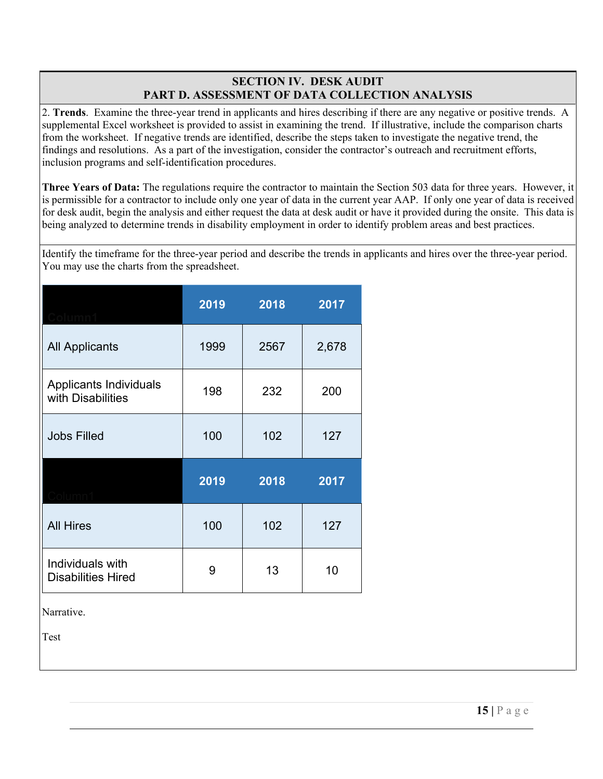## **SECTION IV. DESK AUDIT PART D. ASSESSMENT OF DATA COLLECTION ANALYSIS**

2. **Trends**. Examine the three-year trend in applicants and hires describing if there are any negative or positive trends. A supplemental Excel worksheet is provided to assist in examining the trend. If illustrative, include the comparison charts from the worksheet. If negative trends are identified, describe the steps taken to investigate the negative trend, the findings and resolutions. As a part of the investigation, consider the contractor's outreach and recruitment efforts, inclusion programs and self-identification procedures.

**Three Years of Data:** The regulations require the contractor to maintain the Section 503 data for three years. However, it is permissible for a contractor to include only one year of data in the current year AAP. If only one year of data is received for desk audit, begin the analysis and either request the data at desk audit or have it provided during the onsite. This data is being analyzed to determine trends in disability employment in order to identify problem areas and best practices.

Identify the timeframe for the three-year period and describe the trends in applicants and hires over the three-year period. You may use the charts from the spreadsheet.

|                                               | 2019 | 2018 | 2017  |
|-----------------------------------------------|------|------|-------|
| <b>All Applicants</b>                         | 1999 | 2567 | 2,678 |
| Applicants Individuals<br>with Disabilities   | 198  | 232  | 200   |
| <b>Jobs Filled</b>                            | 100  | 102  | 127   |
|                                               | 2019 | 2018 | 2017  |
| <b>All Hires</b>                              | 100  | 102  | 127   |
| Individuals with<br><b>Disabilities Hired</b> | 9    | 13   | 10    |

Narrative.

Test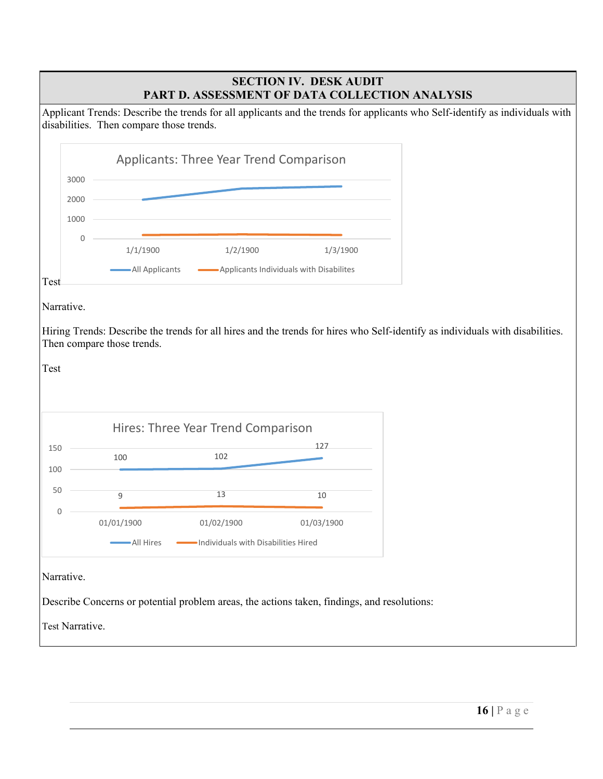## **SECTION IV. DESK AUDIT PART D. ASSESSMENT OF DATA COLLECTION ANALYSIS**

Applicant Trends: Describe the trends for all applicants and the trends for applicants who Self-identify as individuals with disabilities. Then compare those trends.

|                 |                |                                   | <b>Applicants: Three Year Trend Comparison</b>     |                                                                                             |                                                                                                                               |
|-----------------|----------------|-----------------------------------|----------------------------------------------------|---------------------------------------------------------------------------------------------|-------------------------------------------------------------------------------------------------------------------------------|
|                 | 3000           |                                   |                                                    |                                                                                             |                                                                                                                               |
|                 | 2000           |                                   |                                                    |                                                                                             |                                                                                                                               |
|                 | 1000           |                                   |                                                    |                                                                                             |                                                                                                                               |
|                 | $\overline{0}$ |                                   |                                                    |                                                                                             |                                                                                                                               |
|                 |                | 1/1/1900                          | 1/2/1900                                           | 1/3/1900                                                                                    |                                                                                                                               |
| Test            |                | - All Applicants                  |                                                    | Applicants Individuals with Disabilites                                                     |                                                                                                                               |
| Test<br>150     |                | Then compare those trends.<br>100 | Hires: Three Year Trend Comparison<br>102          | 127                                                                                         | Hiring Trends: Describe the trends for all hires and the trends for hires who Self-identify as individuals with disabilities. |
| 100<br>50       |                | 9                                 | 13                                                 | 10                                                                                          |                                                                                                                               |
| $\mathbf{0}$    |                | 01/01/1900<br>-All Hires          | 01/02/1900<br>-Individuals with Disabilities Hired | 01/03/1900                                                                                  |                                                                                                                               |
| Narrative.      |                |                                   |                                                    |                                                                                             |                                                                                                                               |
|                 |                |                                   |                                                    | Describe Concerns or potential problem areas, the actions taken, findings, and resolutions: |                                                                                                                               |
| Test Narrative. |                |                                   |                                                    |                                                                                             |                                                                                                                               |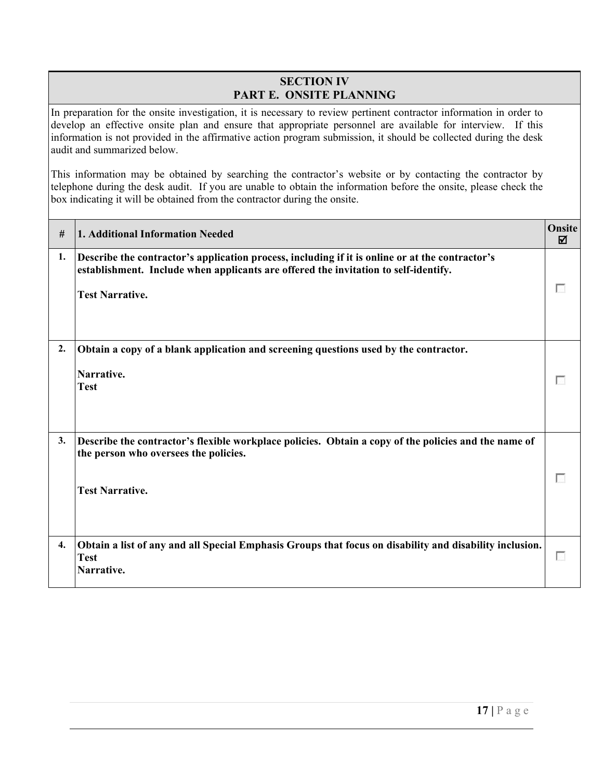## **SECTION IV PART E. ONSITE PLANNING**

In preparation for the onsite investigation, it is necessary to review pertinent contractor information in order to develop an effective onsite plan and ensure that appropriate personnel are available for interview. If this information is not provided in the affirmative action program submission, it should be collected during the desk audit and summarized below.

This information may be obtained by searching the contractor's website or by contacting the contractor by telephone during the desk audit. If you are unable to obtain the information before the onsite, please check the box indicating it will be obtained from the contractor during the onsite.

| #  | <b>1. Additional Information Needed</b>                                                                                                                                                                          | Onsite<br>☑ |
|----|------------------------------------------------------------------------------------------------------------------------------------------------------------------------------------------------------------------|-------------|
| 1. | Describe the contractor's application process, including if it is online or at the contractor's<br>establishment. Include when applicants are offered the invitation to self-identify.<br><b>Test Narrative.</b> |             |
| 2. | Obtain a copy of a blank application and screening questions used by the contractor.<br>Narrative.<br><b>Test</b>                                                                                                |             |
| 3. | Describe the contractor's flexible workplace policies. Obtain a copy of the policies and the name of<br>the person who oversees the policies.<br><b>Test Narrative.</b>                                          |             |
| 4. | Obtain a list of any and all Special Emphasis Groups that focus on disability and disability inclusion.<br><b>Test</b><br>Narrative.                                                                             | . .         |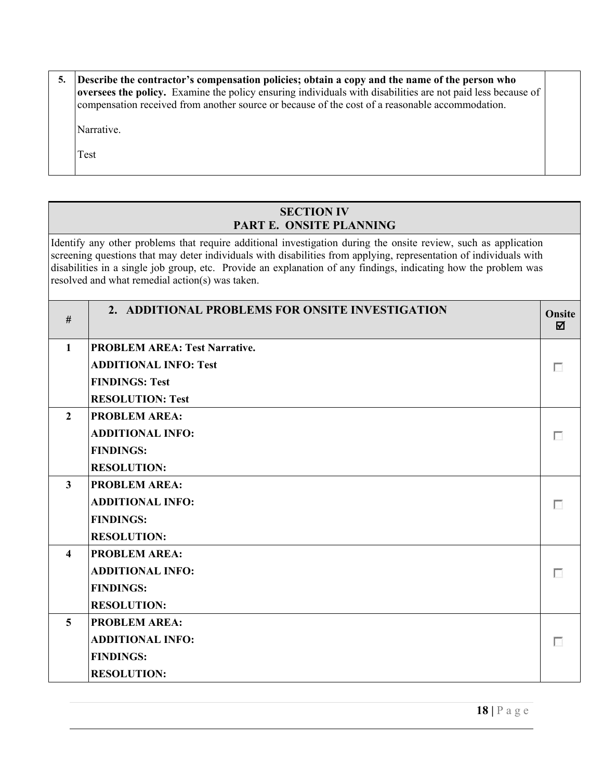| Describe the contractor's compensation policies; obtain a copy and the name of the person who<br><b>oversees the policy.</b> Examine the policy ensuring individuals with disabilities are not paid less because of<br>compensation received from another source or because of the cost of a reasonable accommodation. |  |
|------------------------------------------------------------------------------------------------------------------------------------------------------------------------------------------------------------------------------------------------------------------------------------------------------------------------|--|
| Narrative.                                                                                                                                                                                                                                                                                                             |  |
| Test                                                                                                                                                                                                                                                                                                                   |  |

# **SECTION IV PART E. ONSITE PLANNING**

Identify any other problems that require additional investigation during the onsite review, such as application screening questions that may deter individuals with disabilities from applying, representation of individuals with disabilities in a single job group, etc. Provide an explanation of any findings, indicating how the problem was resolved and what remedial action(s) was taken.

| #                       | 2. ADDITIONAL PROBLEMS FOR ONSITE INVESTIGATION | <b>Onsite</b><br>☑ |
|-------------------------|-------------------------------------------------|--------------------|
| $\mathbf{1}$            | <b>PROBLEM AREA: Test Narrative.</b>            |                    |
|                         | <b>ADDITIONAL INFO: Test</b>                    |                    |
|                         | <b>FINDINGS: Test</b>                           |                    |
|                         | <b>RESOLUTION: Test</b>                         |                    |
| $\overline{2}$          | <b>PROBLEM AREA:</b>                            |                    |
|                         | <b>ADDITIONAL INFO:</b>                         | п                  |
|                         | <b>FINDINGS:</b>                                |                    |
|                         | <b>RESOLUTION:</b>                              |                    |
| $\mathbf{3}$            | <b>PROBLEM AREA:</b>                            |                    |
|                         | <b>ADDITIONAL INFO:</b>                         |                    |
|                         | <b>FINDINGS:</b>                                |                    |
|                         | <b>RESOLUTION:</b>                              |                    |
| $\overline{\mathbf{4}}$ | <b>PROBLEM AREA:</b>                            |                    |
|                         | <b>ADDITIONAL INFO:</b>                         |                    |
|                         | <b>FINDINGS:</b>                                |                    |
|                         | <b>RESOLUTION:</b>                              |                    |
| $\overline{5}$          | <b>PROBLEM AREA:</b>                            |                    |
|                         | <b>ADDITIONAL INFO:</b>                         |                    |
|                         | <b>FINDINGS:</b>                                |                    |
|                         | <b>RESOLUTION:</b>                              |                    |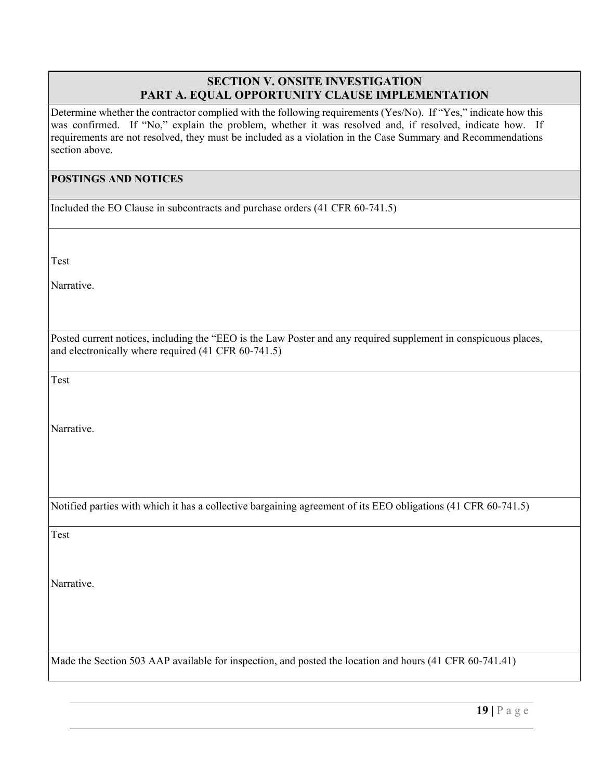## **SECTION V. ONSITE INVESTIGATION PART A. EQUAL OPPORTUNITY CLAUSE IMPLEMENTATION**

Determine whether the contractor complied with the following requirements (Yes/No). If "Yes," indicate how this was confirmed. If "No," explain the problem, whether it was resolved and, if resolved, indicate how. If requirements are not resolved, they must be included as a violation in the Case Summary and Recommendations section above.

#### **POSTINGS AND NOTICES**

Included the EO Clause in subcontracts and purchase orders (41 CFR 60-741.5)

Test

Narrative.

Posted current notices, including the "EEO is the Law Poster and any required supplement in conspicuous places, and electronically where required (41 CFR 60-741.5)

Test

Narrative.

Notified parties with which it has a collective bargaining agreement of its EEO obligations (41 CFR 60-741.5)

Test

Narrative.

Made the Section 503 AAP available for inspection, and posted the location and hours (41 CFR 60-741.41)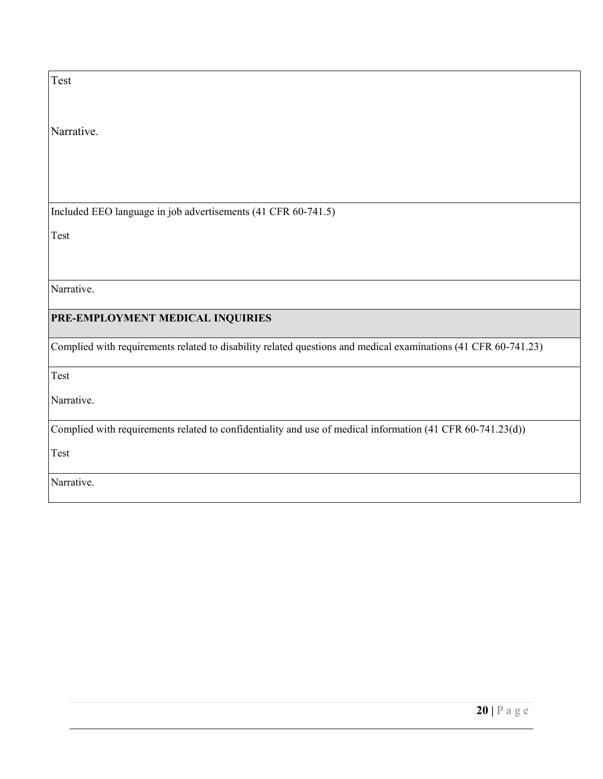| Test                                                                                                           |
|----------------------------------------------------------------------------------------------------------------|
|                                                                                                                |
| Narrative.                                                                                                     |
|                                                                                                                |
|                                                                                                                |
| Included EEO language in job advertisements (41 CFR 60-741.5)                                                  |
| Test                                                                                                           |
|                                                                                                                |
| Narrative.                                                                                                     |
| PRE-EMPLOYMENT MEDICAL INQUIRIES                                                                               |
| Complied with requirements related to disability related questions and medical examinations (41 CFR 60-741.23) |
| Test                                                                                                           |
| Narrative.                                                                                                     |
| Complied with requirements related to confidentiality and use of medical information (41 CFR 60-741.23(d))     |
| Test                                                                                                           |
| Narrative.                                                                                                     |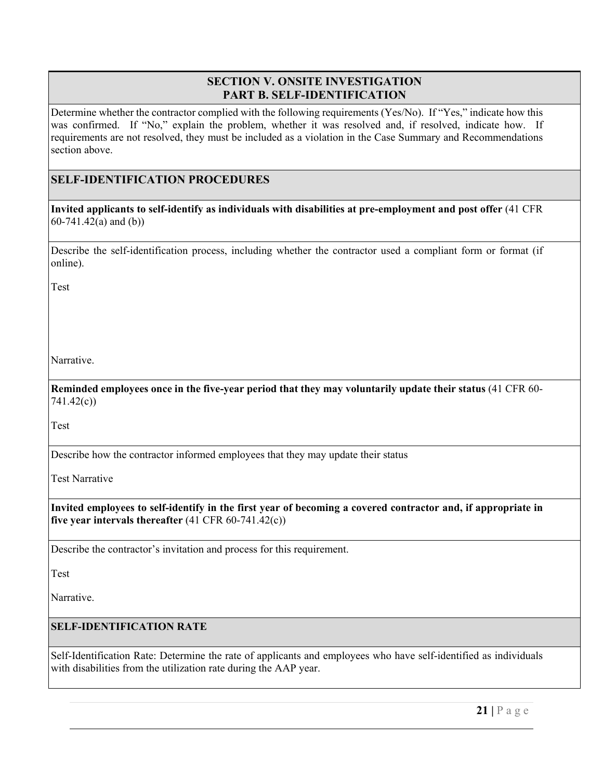## **SECTION V. ONSITE INVESTIGATION PART B. SELF-IDENTIFICATION**

Determine whether the contractor complied with the following requirements (Yes/No). If "Yes," indicate how this was confirmed. If "No," explain the problem, whether it was resolved and, if resolved, indicate how. If requirements are not resolved, they must be included as a violation in the Case Summary and Recommendations section above.

## **SELF-IDENTIFICATION PROCEDURES**

**Invited applicants to self-identify as individuals with disabilities at pre-employment and post offer** (41 CFR 60-741.42(a) and (b))

Describe the self-identification process, including whether the contractor used a compliant form or format (if online).

Test

Narrative.

**Reminded employees once in the five-year period that they may voluntarily update their status** (41 CFR 60- 741.42(c))

Test

Describe how the contractor informed employees that they may update their status

Test Narrative

**Invited employees to self-identify in the first year of becoming a covered contractor and, if appropriate in five year intervals thereafter** (41 CFR 60-741.42(c))

Describe the contractor's invitation and process for this requirement.

Test

Narrative.

#### **SELF-IDENTIFICATION RATE**

Self-Identification Rate: Determine the rate of applicants and employees who have self-identified as individuals with disabilities from the utilization rate during the AAP year.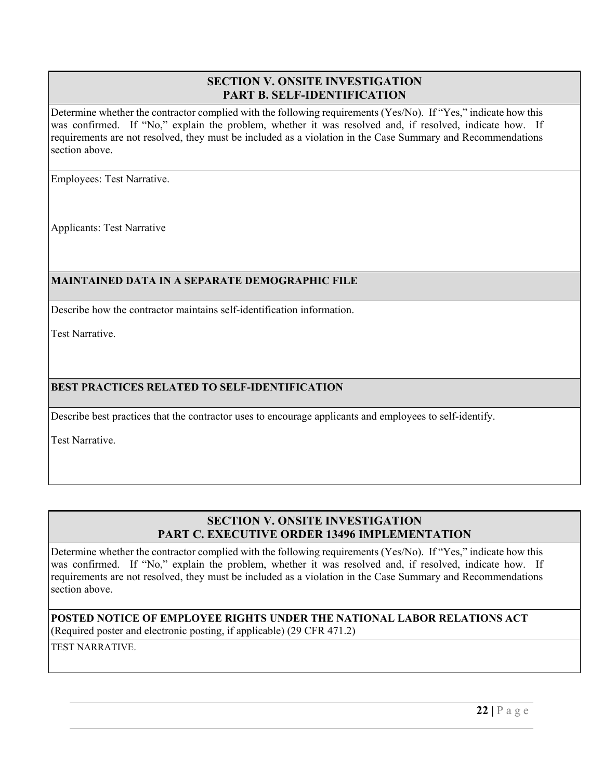## **SECTION V. ONSITE INVESTIGATION PART B. SELF-IDENTIFICATION**

Determine whether the contractor complied with the following requirements (Yes/No). If "Yes," indicate how this was confirmed. If "No," explain the problem, whether it was resolved and, if resolved, indicate how. If requirements are not resolved, they must be included as a violation in the Case Summary and Recommendations section above.

Employees: Test Narrative.

Applicants: Test Narrative

## **MAINTAINED DATA IN A SEPARATE DEMOGRAPHIC FILE**

Describe how the contractor maintains self-identification information.

Test Narrative.

## **BEST PRACTICES RELATED TO SELF-IDENTIFICATION**

Describe best practices that the contractor uses to encourage applicants and employees to self-identify.

Test Narrative.

# **SECTION V. ONSITE INVESTIGATION PART C. EXECUTIVE ORDER 13496 IMPLEMENTATION**

Determine whether the contractor complied with the following requirements (Yes/No). If "Yes," indicate how this was confirmed. If "No," explain the problem, whether it was resolved and, if resolved, indicate how. If requirements are not resolved, they must be included as a violation in the Case Summary and Recommendations section above.

**POSTED NOTICE OF EMPLOYEE RIGHTS UNDER THE NATIONAL LABOR RELATIONS ACT**  (Required poster and electronic posting, if applicable) (29 CFR 471.2)

TEST NARRATIVE.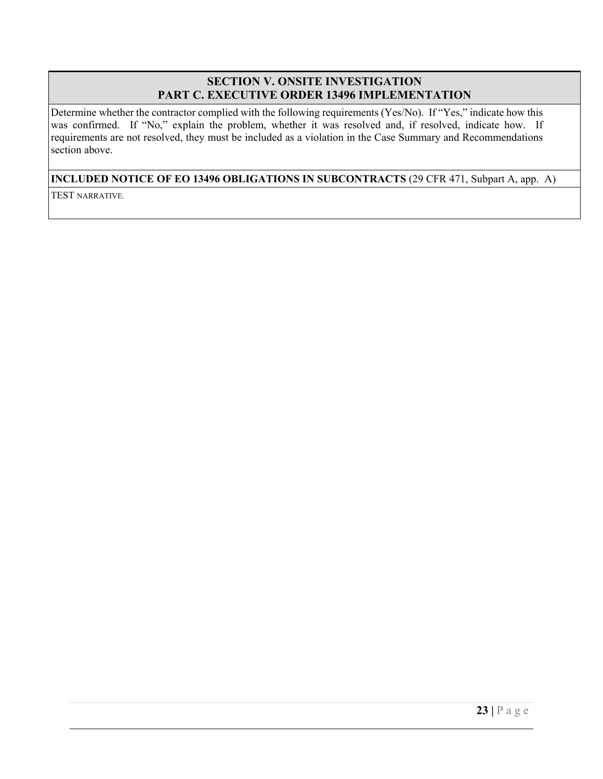## **SECTION V. ONSITE INVESTIGATION PART C. EXECUTIVE ORDER 13496 IMPLEMENTATION**

Determine whether the contractor complied with the following requirements (Yes/No). If "Yes," indicate how this was confirmed. If "No," explain the problem, whether it was resolved and, if resolved, indicate how. If requirements are not resolved, they must be included as a violation in the Case Summary and Recommendations section above.

## **INCLUDED NOTICE OF EO 13496 OBLIGATIONS IN SUBCONTRACTS** (29 CFR 471, Subpart A, app. A)

TEST NARRATIVE.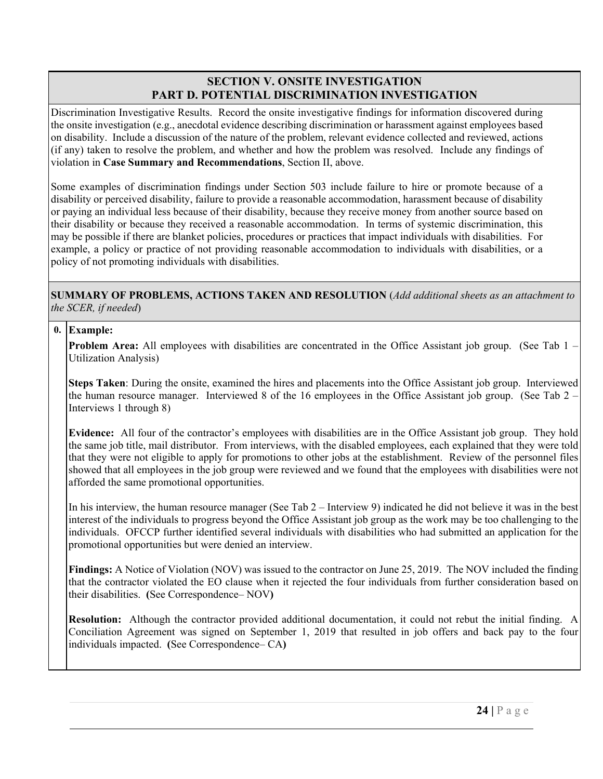## **SECTION V. ONSITE INVESTIGATION PART D. POTENTIAL DISCRIMINATION INVESTIGATION**

Discrimination Investigative Results. Record the onsite investigative findings for information discovered during the onsite investigation (e.g., anecdotal evidence describing discrimination or harassment against employees based on disability. Include a discussion of the nature of the problem, relevant evidence collected and reviewed, actions (if any) taken to resolve the problem, and whether and how the problem was resolved. Include any findings of violation in **Case Summary and Recommendations**, Section II, above.

Some examples of discrimination findings under Section 503 include failure to hire or promote because of a disability or perceived disability, failure to provide a reasonable accommodation, harassment because of disability or paying an individual less because of their disability, because they receive money from another source based on their disability or because they received a reasonable accommodation. In terms of systemic discrimination, this may be possible if there are blanket policies, procedures or practices that impact individuals with disabilities. For example, a policy or practice of not providing reasonable accommodation to individuals with disabilities, or a policy of not promoting individuals with disabilities.

**SUMMARY OF PROBLEMS, ACTIONS TAKEN AND RESOLUTION** (*Add additional sheets as an attachment to the SCER, if needed*)

## **0. Example:**

**Problem Area:** All employees with disabilities are concentrated in the Office Assistant job group. (See Tab 1 – Utilization Analysis)

**Steps Taken**: During the onsite, examined the hires and placements into the Office Assistant job group. Interviewed the human resource manager. Interviewed 8 of the 16 employees in the Office Assistant job group. (See Tab 2 – Interviews 1 through 8)

**Evidence:** All four of the contractor's employees with disabilities are in the Office Assistant job group. They hold the same job title, mail distributor. From interviews, with the disabled employees, each explained that they were told that they were not eligible to apply for promotions to other jobs at the establishment. Review of the personnel files showed that all employees in the job group were reviewed and we found that the employees with disabilities were not afforded the same promotional opportunities.

In his interview, the human resource manager (See Tab 2 – Interview 9) indicated he did not believe it was in the best interest of the individuals to progress beyond the Office Assistant job group as the work may be too challenging to the individuals. OFCCP further identified several individuals with disabilities who had submitted an application for the promotional opportunities but were denied an interview.

**Findings:** A Notice of Violation (NOV) was issued to the contractor on June 25, 2019. The NOV included the finding that the contractor violated the EO clause when it rejected the four individuals from further consideration based on their disabilities. **(**See Correspondence– NOV**)** 

**Resolution:** Although the contractor provided additional documentation, it could not rebut the initial finding. A Conciliation Agreement was signed on September 1, 2019 that resulted in job offers and back pay to the four individuals impacted. **(**See Correspondence– CA**)**